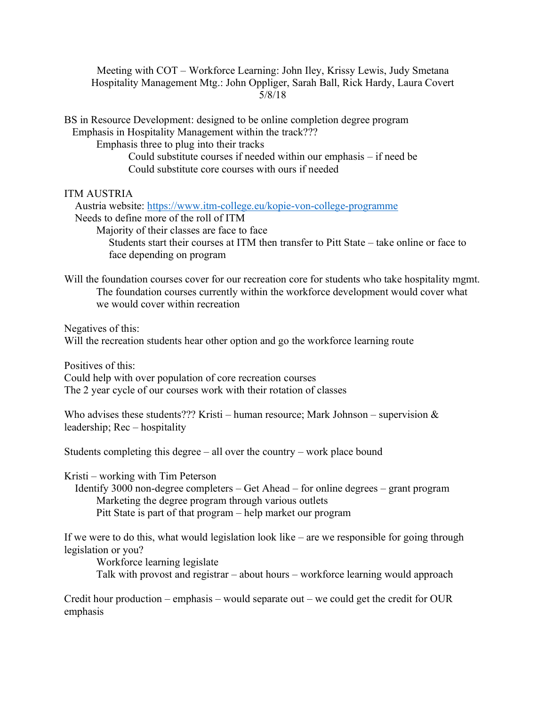Meeting with COT – Workforce Learning: John Iley, Krissy Lewis, Judy Smetana Hospitality Management Mtg.: John Oppliger, Sarah Ball, Rick Hardy, Laura Covert 5/8/18

BS in Resource Development: designed to be online completion degree program Emphasis in Hospitality Management within the track???

Emphasis three to plug into their tracks

 Could substitute courses if needed within our emphasis – if need be Could substitute core courses with ours if needed

## ITM AUSTRIA

 Austria website:<https://www.itm-college.eu/kopie-von-college-programme> Needs to define more of the roll of ITM

Majority of their classes are face to face

Students start their courses at ITM then transfer to Pitt State – take online or face to

face depending on program

Will the foundation courses cover for our recreation core for students who take hospitality mgmt. The foundation courses currently within the workforce development would cover what we would cover within recreation

Negatives of this:

Will the recreation students hear other option and go the workforce learning route

Positives of this:

Could help with over population of core recreation courses The 2 year cycle of our courses work with their rotation of classes

Who advises these students??? Kristi – human resource; Mark Johnson – supervision  $\&$ leadership; Rec – hospitality

Students completing this degree – all over the country – work place bound

Kristi – working with Tim Peterson

 Identify 3000 non-degree completers – Get Ahead – for online degrees – grant program Marketing the degree program through various outlets Pitt State is part of that program – help market our program

If we were to do this, what would legislation look like – are we responsible for going through legislation or you?

Workforce learning legislate

Talk with provost and registrar – about hours – workforce learning would approach

Credit hour production – emphasis – would separate out – we could get the credit for OUR emphasis